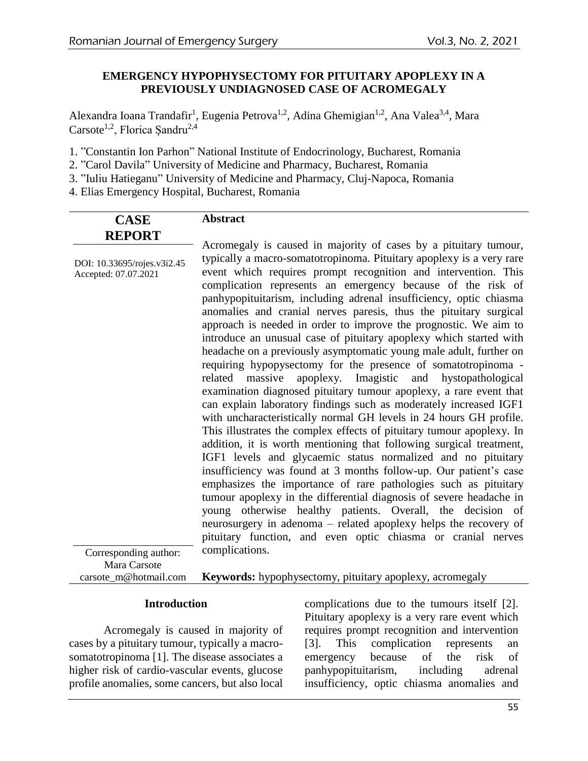### **EMERGENCY HYPOPHYSECTOMY FOR PITUITARY APOPLEXY IN A PREVIOUSLY UNDIAGNOSED CASE OF ACROMEGALY**

Alexandra Ioana Trandafir<sup>1</sup>, Eugenia Petrova<sup>1,2</sup>, Adina Ghemigian<sup>1,2</sup>, Ana Valea<sup>3,4</sup>, Mara Carsote<sup>1,2</sup>, Florica Sandru<sup>2,4</sup>

1. "Constantin Ion Parhon" National Institute of Endocrinology, Bucharest, Romania

2. "Carol Davila" University of Medicine and Pharmacy, Bucharest, Romania

3. "Iuliu Hatieganu" University of Medicine and Pharmacy, Cluj-Napoca, Romania

4. Elias Emergency Hospital, Bucharest, Romania

| <b>CASE</b>                 | <b>Abstract</b>                                                                                                                             |  |  |  |
|-----------------------------|---------------------------------------------------------------------------------------------------------------------------------------------|--|--|--|
| <b>REPORT</b>               |                                                                                                                                             |  |  |  |
| DOI: 10.33695/rojes.v3i2.45 | Acromegaly is caused in majority of cases by a pituitary tumour,<br>typically a macro-somatotropinoma. Pituitary apoplexy is a very rare    |  |  |  |
| Accepted: 07.07.2021        | event which requires prompt recognition and intervention. This<br>complication represents an emergency because of the risk of               |  |  |  |
|                             | panhypopituitarism, including adrenal insufficiency, optic chiasma                                                                          |  |  |  |
|                             | anomalies and cranial nerves paresis, thus the pituitary surgical<br>approach is needed in order to improve the prognostic. We aim to       |  |  |  |
|                             | introduce an unusual case of pituitary apoplexy which started with                                                                          |  |  |  |
|                             | headache on a previously asymptomatic young male adult, further on                                                                          |  |  |  |
|                             | requiring hypopysectomy for the presence of somatotropinoma -<br>massive<br>apoplexy. Imagistic<br>and hystopathological<br>related         |  |  |  |
|                             | examination diagnosed pituitary tumour apoplexy, a rare event that                                                                          |  |  |  |
|                             | can explain laboratory findings such as moderately increased IGF1                                                                           |  |  |  |
|                             | with uncharacteristically normal GH levels in 24 hours GH profile.<br>This illustrates the complex effects of pituitary tumour apoplexy. In |  |  |  |
|                             | addition, it is worth mentioning that following surgical treatment,                                                                         |  |  |  |
|                             | IGF1 levels and glycaemic status normalized and no pituitary                                                                                |  |  |  |
|                             | insufficiency was found at 3 months follow-up. Our patient's case<br>emphasizes the importance of rare pathologies such as pituitary        |  |  |  |
|                             | tumour apoplexy in the differential diagnosis of severe headache in                                                                         |  |  |  |
|                             | young otherwise healthy patients. Overall, the decision of                                                                                  |  |  |  |
|                             | neurosurgery in adenoma – related apoplexy helps the recovery of<br>pituitary function, and even optic chiasma or cranial nerves            |  |  |  |
| Corresponding author:       | complications.                                                                                                                              |  |  |  |
| Mara Carsote                |                                                                                                                                             |  |  |  |
| carsote_m@hotmail.com       | <b>Keywords:</b> hypophysectomy, pituitary apoplexy, acromegaly                                                                             |  |  |  |

#### **Introduction**

Acromegaly is caused in majority of cases by a pituitary tumour, typically a macrosomatotropinoma [1]. The disease associates a higher risk of cardio-vascular events, glucose profile anomalies, some cancers, but also local

complications due to the tumours itself [2]. Pituitary apoplexy is a very rare event which requires prompt recognition and intervention [3]. This complication represents an emergency because of the risk of panhypopituitarism, including adrenal insufficiency, optic chiasma anomalies and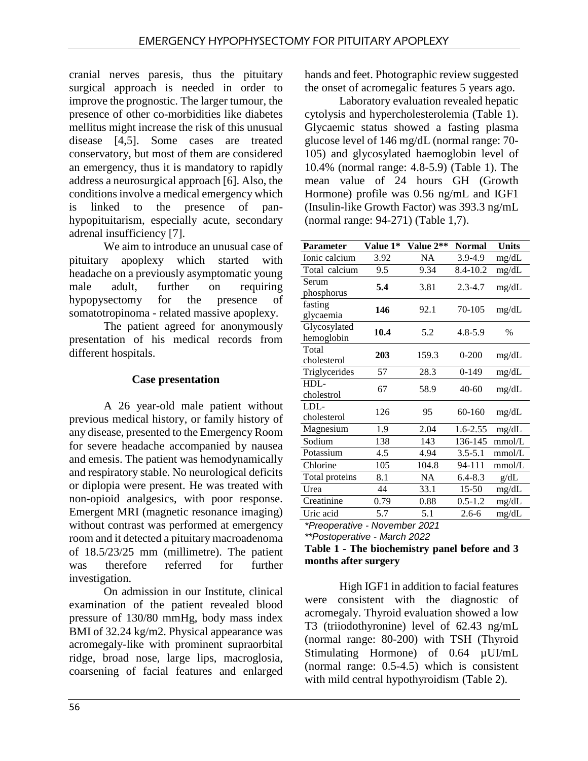cranial nerves paresis, thus the pituitary surgical approach is needed in order to improve the prognostic. The larger tumour, the presence of other co-morbidities like diabetes mellitus might increase the risk of this unusual disease [4,5]. Some cases are treated conservatory, but most of them are considered an emergency, thus it is mandatory to rapidly address a neurosurgical approach [6]. Also, the conditions involve a medical emergency which is linked to the presence of panhypopituitarism, especially acute, secondary adrenal insufficiency [7].

We aim to introduce an unusual case of pituitary apoplexy which started with headache on a previously asymptomatic young male adult, further on requiring hypopysectomy for the presence of somatotropinoma - related massive apoplexy.

The patient agreed for anonymously presentation of his medical records from different hospitals.

# **Case presentation**

A 26 year-old male patient without previous medical history, or family history of any disease, presented to the Emergency Room for severe headache accompanied by nausea and emesis. The patient was hemodynamically and respiratory stable. No neurological deficits or diplopia were present. He was treated with non-opioid analgesics, with poor response. Emergent MRI (magnetic resonance imaging) without contrast was performed at emergency room and it detected a pituitary macroadenoma of 18.5/23/25 mm (millimetre). The patient was therefore referred for further investigation.

On admission in our Institute, clinical examination of the patient revealed blood pressure of 130/80 mmHg, body mass index BMI of 32.24 kg/m2. Physical appearance was acromegaly-like with prominent supraorbital ridge, broad nose, large lips, macroglosia, coarsening of facial features and enlarged hands and feet. Photographic review suggested the onset of acromegalic features 5 years ago.

Laboratory evaluation revealed hepatic cytolysis and hypercholesterolemia (Table 1). Glycaemic status showed a fasting plasma glucose level of 146 mg/dL (normal range: 70- 105) and glycosylated haemoglobin level of 10.4% (normal range: 4.8-5.9) (Table 1). The mean value of 24 hours GH (Growth Hormone) profile was 0.56 ng/mL and IGF1 (Insulin-like Growth Factor) was 393.3 ng/mL (normal range: 94-271) (Table 1,7).

| <b>Parameter</b>              | Value 1* | Value 2** | Normal       | <b>Units</b>  |  |
|-------------------------------|----------|-----------|--------------|---------------|--|
| Ionic calcium                 | 3.92     | NA        | 3.9-4.9      | mg/dL         |  |
| Total calcium                 | 9.5      | 9.34      | 8.4-10.2     | mg/dL         |  |
| Serum<br>phosphorus           | 5.4      | 3.81      | $2.3 - 4.7$  | mg/dL         |  |
| fasting<br>glycaemia          | 146      | 92.1      | 70-105       | mg/dL         |  |
| Glycosylated<br>hemoglobin    | 10.4     | 5.2       | $4.8 - 5.9$  | $\frac{0}{0}$ |  |
| Total<br>cholesterol          | 203      | 159.3     | $0 - 200$    | mg/dL         |  |
| Triglycerides                 | 57       | 28.3      | $0 - 149$    | mg/dL         |  |
| HDL-<br>cholestrol            | 67       | 58.9      | $40 - 60$    | mg/dL         |  |
| LDL-<br>cholesterol           | 126      | 95        | 60-160       | mg/dL         |  |
| Magnesium                     | 1.9      | 2.04      | $1.6 - 2.55$ | mg/dL         |  |
| Sodium                        | 138      | 143       | 136-145      | mmol/L        |  |
| Potassium                     | 4.5      | 4.94      | $3.5 - 5.1$  | mmol/L        |  |
| Chlorine                      | 105      | 104.8     | 94-111       | mmol/L        |  |
| Total proteins                | 8.1      | NA        | $6.4 - 8.3$  | g/dL          |  |
| Urea                          | 44       | 33.1      | $15 - 50$    | mg/dL         |  |
| Creatinine                    | 0.79     | 0.88      | $0.5 - 1.2$  | mg/dL         |  |
| Uric acid                     | 5.7      | 5.1       | $2.6 - 6$    | mg/dL         |  |
| *Preoperative - November 2021 |          |           |              |               |  |

*\*\*Postoperative - March 2022* 

**Table 1 - The biochemistry panel before and 3 months after surgery**

High IGF1 in addition to facial features were consistent with the diagnostic of acromegaly. Thyroid evaluation showed a low T3 (triiodothyronine) level of 62.43 ng/mL (normal range: 80-200) with TSH (Thyroid Stimulating Hormone) of 0.64 µUI/mL (normal range: 0.5-4.5) which is consistent with mild central hypothyroidism (Table 2).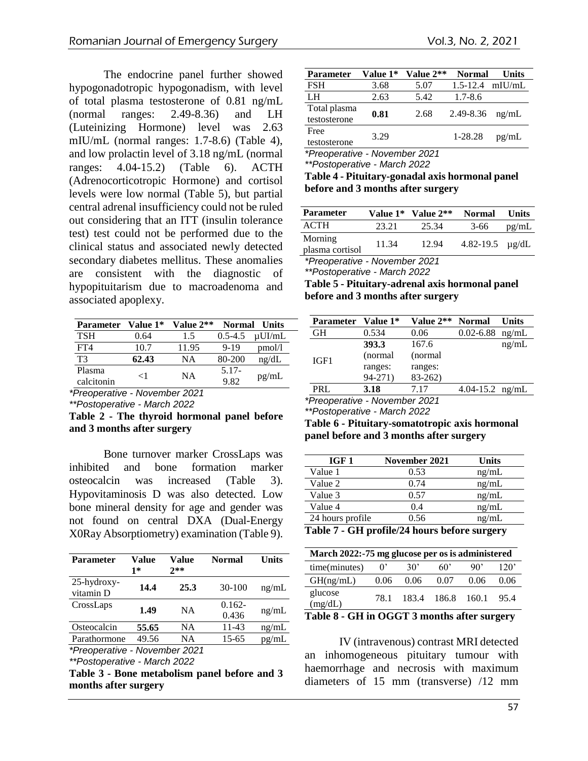The endocrine panel further showed hypogonadotropic hypogonadism, with level of total plasma testosterone of 0.81 ng/mL (normal ranges: 2.49-8.36) and LH (Luteinizing Hormone) level was 2.63 mIU/mL (normal ranges: 1.7-8.6) (Table 4), and low prolactin level of 3.18 ng/mL (normal ranges: 4.04-15.2) (Table 6). ACTH (Adrenocorticotropic Hormone) and cortisol levels were low normal (Table 5), but partial central adrenal insufficiency could not be ruled out considering that an ITT (insulin tolerance test) test could not be performed due to the clinical status and associated newly detected secondary diabetes mellitus. These anomalies are consistent with the diagnostic of hypopituitarism due to macroadenoma and associated apoplexy.

| <b>Parameter</b> | <b>Value 1*</b> | <b>Value 2**</b>                       | <b>Normal</b> | <b>Units</b> |
|------------------|-----------------|----------------------------------------|---------------|--------------|
| <b>TSH</b>       | 0.64            | 1.5                                    | $0.5 - 4.5$   | $\mu$ UI/mL  |
| FT4              | 10.7            | 11.95                                  | $9 - 19$      | pmol/l       |
| T3               | 62.43           | NA                                     | 80-200        | ng/dL        |
| Plasma           | ${<}1$          | <b>NA</b>                              | $5.17-$       |              |
| calcitonin       |                 |                                        | 9.82          | pg/mL        |
| -<br>$\sim$ .    | . .             | $\cdot$<br>$\sim$ $\sim$ $\sim$ $\sim$ |               |              |

*\*Preoperative - November 2021*

*\*\*Postoperative - March 2022* 

**Table 2 - The thyroid hormonal panel before and 3 months after surgery**

Bone turnover marker CrossLaps was inhibited and bone formation marker osteocalcin was increased (Table 3). Hypovitaminosis D was also detected. Low bone mineral density for age and gender was not found on central DXA (Dual-Energy X0Ray Absorptiometry) examination (Table 9).

| <b>Parameter</b>              | Value<br>1* | Value<br>$2**$ | Normal             | <b>Units</b> |  |
|-------------------------------|-------------|----------------|--------------------|--------------|--|
| $25$ -hydroxy-<br>vitamin D   | 14.4        | 25.3           | $30-100$           | ng/mL        |  |
| CrossLaps                     | 1.49        | <b>NA</b>      | $0.162 -$<br>0.436 | ng/mL        |  |
| Osteocalcin                   | 55.65       | NA             | $11 - 43$          | ng/mL        |  |
| Parathormone                  | 49.56       | NA             | 15-65              | pg/mL        |  |
| *Preoperative - November 2021 |             |                |                    |              |  |

*\*\*Postoperative - March 2022* 

**Table 3 - Bone metabolism panel before and 3 months after surgery**

| <b>Parameter</b> | Value 1* | Value 2** | <b>Normal</b>       | Units |
|------------------|----------|-----------|---------------------|-------|
| <b>FSH</b>       | 3.68     | 5.07      | $1.5 - 12.4$ mIU/mL |       |
| LH               | 2.63     | 5.42      | $1.7 - 8.6$         |       |
| Total plasma     | 0.81     | 2.68      | 2.49-8.36           | ng/mL |
| testosterone     |          |           |                     |       |
| Free             | 3.29     |           | 1-28.28             |       |
| testosterone     |          |           |                     | pg/mL |

*\*Preoperative - November 2021*

*\*\*Postoperative - March 2022* 

**Table 4 - Pituitary-gonadal axis hormonal panel before and 3 months after surgery**

| <b>Parameter</b>           |       | Value $1^*$ Value $2^{**}$ | <b>Normal</b>        | <b>Units</b> |
|----------------------------|-------|----------------------------|----------------------|--------------|
| <b>ACTH</b>                | 23.21 | 25.34                      | $3-66$               | pg/mL        |
| Morning<br>plasma cortisol | 11.34 | 12.94                      | 4.82-19.5 $\mu$ g/dL |              |
|                            |       |                            |                      |              |

*\*Preoperative - November 2021*

*\*\*Postoperative - March 2022* 

**Table 5 - Pituitary-adrenal axis hormonal panel before and 3 months after surgery**

| <b>Parameter</b> | Value 1* | Value 2** | <b>Normal</b>            | Units |
|------------------|----------|-----------|--------------------------|-------|
| GН               | 0.534    | 0.06      | $0.02 - 6.88$            | ng/mL |
|                  | 393.3    | 167.6     |                          | ng/mL |
| IGF1             | (normal) | (normal)  |                          |       |
|                  | ranges:  | ranges:   |                          |       |
|                  | 94-271)  | $83-262$  |                          |       |
| PRI.             | 3.18     | 7.17      | 4.04-15.2 $\text{ng/mL}$ |       |

*\*Preoperative - November 2021 \*\*Postoperative - March 2022* 

**Table 6 - Pituitary-somatotropic axis hormonal panel before and 3 months after surgery**

| IGF 1            | November 2021 | <b>Units</b> |
|------------------|---------------|--------------|
| Value 1          | 0.53          | ng/mL        |
| Value 2          | 0.74          | ng/mL        |
| Value 3          | 0.57          | ng/mL        |
| Value 4          | 0.4           | ng/mL        |
| 24 hours profile | 0.56          | ng/mL        |

**Table 7 - GH profile/24 hours before surgery**

| March 2022:-75 mg glucose per os is administered |      |              |             |      |      |
|--------------------------------------------------|------|--------------|-------------|------|------|
| time(minutes)                                    | 0'   | $30^{\circ}$ | 60'         | 90'  | 120' |
| GH(ng/mL)                                        | 0.06 | 0.06         | 0.07        | 0.06 | 0.06 |
| glucose<br>(mg/dL)                               | 78.1 | 183.4        | 186.8 160.1 |      | 95.4 |

**Table 8 - GH in OGGT 3 months after surgery**

IV (intravenous) contrast MRI detected an inhomogeneous pituitary tumour with haemorrhage and necrosis with maximum diameters of 15 mm (transverse) /12 mm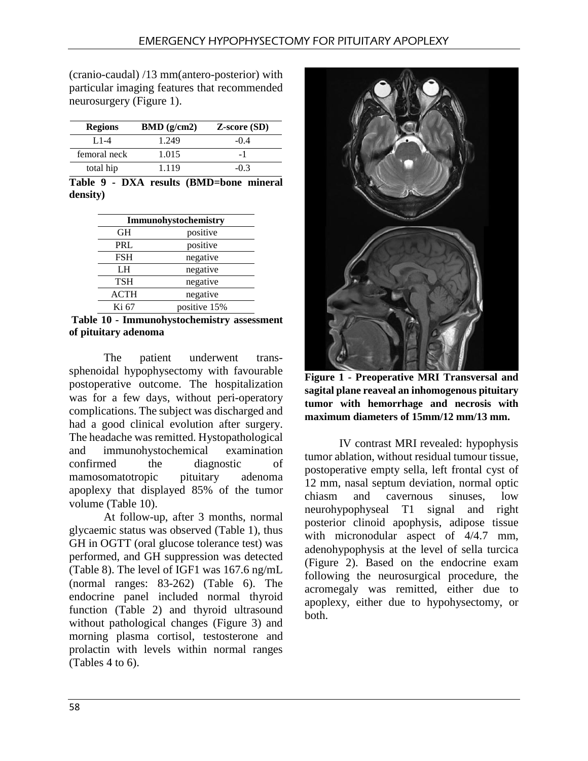(cranio-caudal) /13 mm(antero-posterior) with particular imaging features that recommended neurosurgery (Figure 1).

| <b>Regions</b> | BMD(g/cm2) | <b>Z-score (SD)</b> |
|----------------|------------|---------------------|
| $1.1 - 4$      | 1.249      | $-0.4$              |
| femoral neck   | 1.015      |                     |
| total hip      | 1.119      | -03                 |

**Table 9 - DXA results (BMD=bone mineral density)**

| Immunohystochemistry |              |  |
|----------------------|--------------|--|
| GН                   | positive     |  |
| PRL                  | positive     |  |
| <b>FSH</b>           | negative     |  |
| LH                   | negative     |  |
| <b>TSH</b>           | negative     |  |
| <b>ACTH</b>          | negative     |  |
| Ki 67                | positive 15% |  |

**Table 10 - Immunohystochemistry assessment of pituitary adenoma**

The patient underwent transsphenoidal hypophysectomy with favourable postoperative outcome. The hospitalization was for a few days, without peri-operatory complications. The subject was discharged and had a good clinical evolution after surgery. The headache was remitted. Hystopathological and immunohystochemical examination confirmed the diagnostic of mamosomatotropic pituitary adenoma apoplexy that displayed 85% of the tumor volume (Table 10).

At follow-up, after 3 months, normal glycaemic status was observed (Table 1), thus GH in OGTT (oral glucose tolerance test) was performed, and GH suppression was detected (Table 8). The level of IGF1 was 167.6 ng/mL (normal ranges: 83-262) (Table 6). The endocrine panel included normal thyroid function (Table 2) and thyroid ultrasound without pathological changes (Figure 3) and morning plasma cortisol, testosterone and prolactin with levels within normal ranges (Tables 4 to 6).



**Figure 1 - Preoperative MRI Transversal and sagital plane reaveal an inhomogenous pituitary tumor with hemorrhage and necrosis with maximum diameters of 15mm/12 mm/13 mm.** 

IV contrast MRI revealed: hypophysis tumor ablation, without residual tumour tissue, postoperative empty sella, left frontal cyst of 12 mm, nasal septum deviation, normal optic chiasm and cavernous sinuses, low neurohypophyseal T1 signal and right posterior clinoid apophysis, adipose tissue with micronodular aspect of  $4/4.7$  mm, adenohypophysis at the level of sella turcica (Figure 2). Based on the endocrine exam following the neurosurgical procedure, the acromegaly was remitted, either due to apoplexy, either due to hypohysectomy, or both.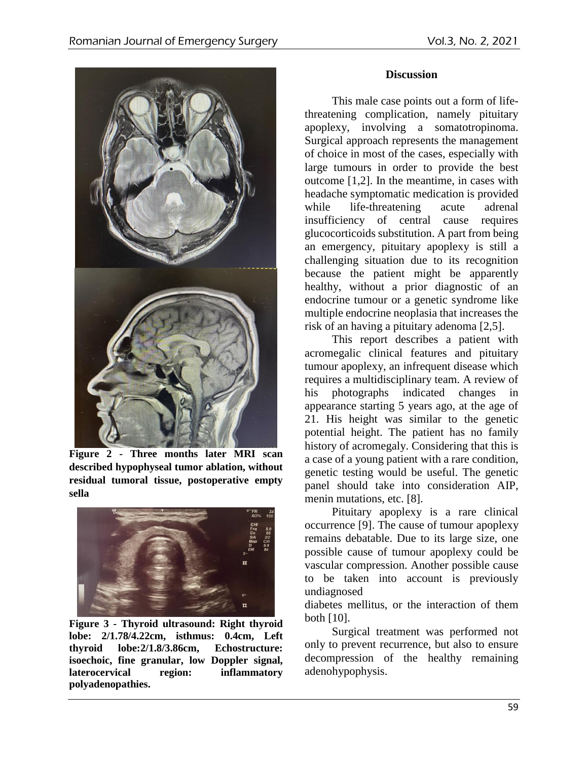

**Figure 2 - Three months later MRI scan described hypophyseal tumor ablation, without residual tumoral tissue, postoperative empty sella**



**Figure 3 - Thyroid ultrasound: Right thyroid lobe: 2/1.78/4.22cm, isthmus: 0.4cm, Left thyroid lobe:2/1.8/3.86cm, Echostructure: isoechoic, fine granular, low Doppler signal, laterocervical region: inflammatory polyadenopathies.**

## **Discussion**

This male case points out a form of lifethreatening complication, namely pituitary apoplexy, involving a somatotropinoma. Surgical approach represents the management of choice in most of the cases, especially with large tumours in order to provide the best outcome [1,2]. In the meantime, in cases with headache symptomatic medication is provided while life-threatening acute adrenal insufficiency of central cause requires glucocorticoids substitution. A part from being an emergency, pituitary apoplexy is still a challenging situation due to its recognition because the patient might be apparently healthy, without a prior diagnostic of an endocrine tumour or a genetic syndrome like multiple endocrine neoplasia that increases the risk of an having a pituitary adenoma [2,5].

This report describes a patient with acromegalic clinical features and pituitary tumour apoplexy, an infrequent disease which requires a multidisciplinary team. A review of his photographs indicated changes in appearance starting 5 years ago, at the age of 21. His height was similar to the genetic potential height. The patient has no family history of acromegaly. Considering that this is a case of a young patient with a rare condition, genetic testing would be useful. The genetic panel should take into consideration AIP, menin mutations, etc. [8].

Pituitary apoplexy is a rare clinical occurrence [9]. The cause of tumour apoplexy remains debatable. Due to its large size, one possible cause of tumour apoplexy could be vascular compression. Another possible cause to be taken into account is previously undiagnosed

diabetes mellitus, or the interaction of them both [10].

Surgical treatment was performed not only to prevent recurrence, but also to ensure decompression of the healthy remaining adenohypophysis.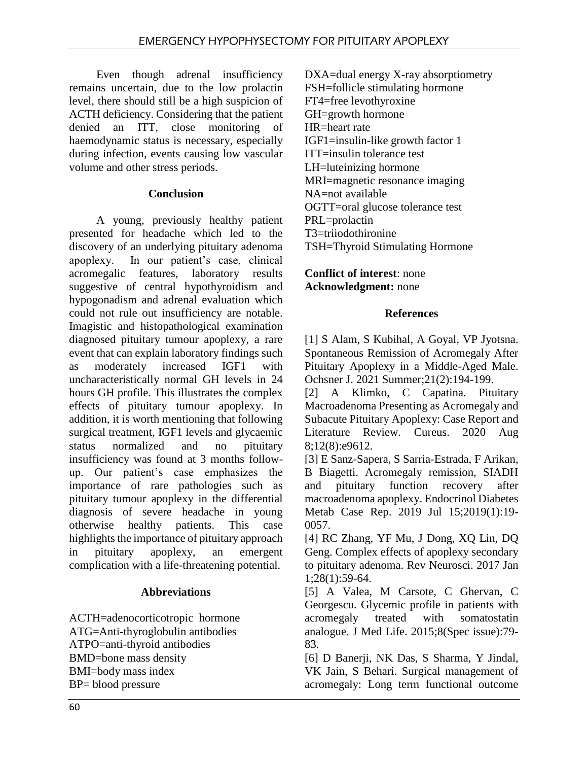Even though adrenal insufficiency remains uncertain, due to the low prolactin level, there should still be a high suspicion of ACTH deficiency. Considering that the patient denied an ITT, close monitoring of haemodynamic status is necessary, especially during infection, events causing low vascular volume and other stress periods.

### **Conclusion**

A young, previously healthy patient presented for headache which led to the discovery of an underlying pituitary adenoma apoplexy. In our patient's case, clinical acromegalic features, laboratory results suggestive of central hypothyroidism and hypogonadism and adrenal evaluation which could not rule out insufficiency are notable. Imagistic and histopathological examination diagnosed pituitary tumour apoplexy, a rare event that can explain laboratory findings such as moderately increased IGF1 with uncharacteristically normal GH levels in 24 hours GH profile. This illustrates the complex effects of pituitary tumour apoplexy. In addition, it is worth mentioning that following surgical treatment, IGF1 levels and glycaemic status normalized and no pituitary insufficiency was found at 3 months followup. Our patient's case emphasizes the importance of rare pathologies such as pituitary tumour apoplexy in the differential diagnosis of severe headache in young otherwise healthy patients. This case highlights the importance of pituitary approach in pituitary apoplexy, an emergent complication with a life-threatening potential.

## **Abbreviations**

ACTH=adenocorticotropic hormone ATG=Anti-thyroglobulin antibodies ATPO=anti-thyroid antibodies BMD=bone mass density BMI=body mass index BP= blood pressure

DXA=dual energy X-ray absorptiometry FSH=follicle stimulating hormone FT4=free levothyroxine GH=growth hormone HR=heart rate IGF1=insulin-like growth factor 1 ITT=insulin tolerance test LH=luteinizing hormone MRI=magnetic resonance imaging NA=not available OGTT=oral glucose tolerance test PRL=prolactin T3=triiodothironine TSH=Thyroid Stimulating Hormone

**Conflict of interest**: none **Acknowledgment:** none

#### **References**

[1] S Alam, S Kubihal, A Goyal, VP Jyotsna. Spontaneous Remission of Acromegaly After Pituitary Apoplexy in a Middle-Aged Male. Ochsner J. 2021 Summer;21(2):194-199.

[2] A Klimko, C Capatina. Pituitary Macroadenoma Presenting as Acromegaly and Subacute Pituitary Apoplexy: Case Report and Literature Review. Cureus. 2020 Aug 8;12(8):e9612.

[3] E Sanz-Sapera, S Sarria-Estrada, F Arikan, B Biagetti. Acromegaly remission, SIADH and pituitary function recovery after macroadenoma apoplexy. Endocrinol Diabetes Metab Case Rep. 2019 Jul 15;2019(1):19- 0057.

[4] RC Zhang, YF Mu, J Dong, XQ Lin, DQ Geng. Complex effects of apoplexy secondary to pituitary adenoma. Rev Neurosci. 2017 Jan 1;28(1):59-64.

[5] A Valea, M Carsote, C Ghervan, C Georgescu. Glycemic profile in patients with acromegaly treated with somatostatin analogue. J Med Life. 2015;8(Spec issue):79- 83.

[6] D Banerji, NK Das, S Sharma, Y Jindal, VK Jain, S Behari. Surgical management of acromegaly: Long term functional outcome